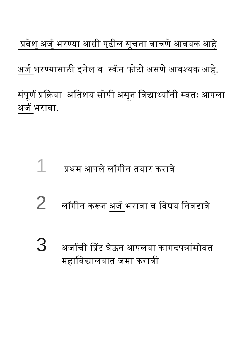प्रवेश अर्जु भरण्या आधी पुढील सूचना वाचणे आवयक आहे अर्ज भरण्यासाठी इमेल व स्कॅन फोटो असणे आवश्यक आहे. संपूर्ण प्रक्रिया अतिशय सोपी असून विद्यार्थ्यांनी स्वतः आपला अर्ज भरावा.

- 1 प्रथम आपले लॉगीन तयार करावे
- $\mathbf 2$  लॉगीन करून अर्ज भरावा व विषय निवडावे
- $\bf 3$  अर्जाची प्रिंट घेऊन आपलया कागदपत्रांसोबत महाविद्यालयात जमा करावी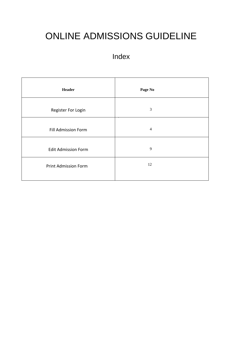# ONLINE ADMISSIONS GUIDELINE

### Index

| <b>Header</b>               | Page No        |
|-----------------------------|----------------|
| Register For Login          | 3              |
| <b>Fill Admission Form</b>  | $\overline{4}$ |
| <b>Edit Admission Form</b>  | 9              |
| <b>Print Admission Form</b> | 12             |
|                             |                |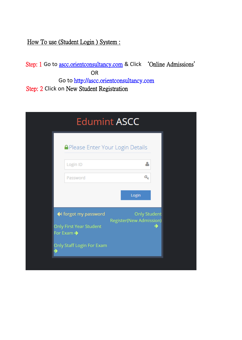How To use (Student Login ) System :

Step: 1 Go to [ascc.orientconsultancy.com](http://ascc.orientconsultancy.com/) & Click 'Online Admissions' OR Go to http://ascc.orientconsultancy.com Step: 2 Click on New Student Registration

| <b>Edumint ASCC</b>                          |                                                       |   |
|----------------------------------------------|-------------------------------------------------------|---|
| <b>A</b> Please Enter Your Login Details     |                                                       |   |
| Login ID                                     | Δ                                                     |   |
| Password                                     | Q.                                                    |   |
|                                              | Login                                                 |   |
| ← forgot my password                         | <b>Only Student</b><br><b>Register(New Admission)</b> |   |
| <b>Only First Year Student</b><br>For Exam → |                                                       | → |
| Only Staff Login For Exam                    |                                                       |   |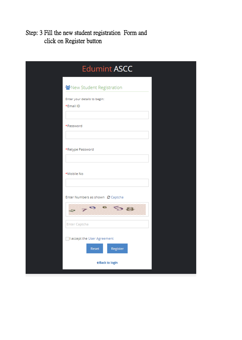Step: 3 Fill the new student registration Form and click on Register button

| <b>Edumint ASCC</b>                                                                 |  |
|-------------------------------------------------------------------------------------|--|
| New Student Registration                                                            |  |
| Enter your details to begin:<br>*Email ID                                           |  |
| *Password                                                                           |  |
|                                                                                     |  |
| *Retype Password                                                                    |  |
| *Mobile No                                                                          |  |
| Enter Numbers as shown C Captcha<br>$\epsilon$<br>279<br>58<br><b>Enter Captcha</b> |  |
| I accept the User Agreement<br>Reset<br>Register                                    |  |
| ← Back to login                                                                     |  |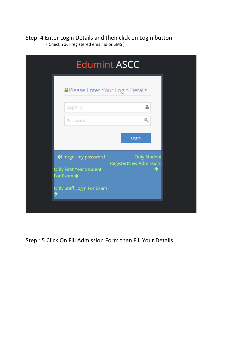Step: 4 Enter Login Details and then click on Login button ( Check Your registered email id or SMS )

| <b>Edumint ASCC</b>                     |                                |
|-----------------------------------------|--------------------------------|
| <b>APlease Enter Your Login Details</b> |                                |
| δ                                       |                                |
| Q.                                      |                                |
| Login                                   |                                |
| <b>Only Student</b>                     |                                |
|                                         |                                |
|                                         |                                |
|                                         | <b>Register(New Admission)</b> |

Step : 5 Click On Fill Admission Form then Fill Your Details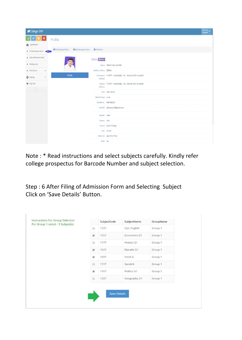| College ERP                      |                                                              |                     |                                                        | Welcome,<br>Student |
|----------------------------------|--------------------------------------------------------------|---------------------|--------------------------------------------------------|---------------------|
| œ                                | Profile                                                      |                     |                                                        |                     |
| <b>B</b> Dashboard               |                                                              |                     |                                                        |                     |
| Fill Admission Form<br>æ         | <b>O</b> Fill Admission Form<br><b>O</b> Edit Admission Form | <b>O</b> Print Form |                                                        |                     |
| Edit Admission Form              |                                                              | Status Conline      |                                                        |                     |
| Holiday List                     |                                                              |                     | Name PRANIT ANIL JATHAR                                |                     |
| Print Form<br>$\checkmark$       |                                                              | Mother's Name SEEMA |                                                        |                     |
| <b>D</b> Setting<br>$\checkmark$ | Profile                                                      | Address             | Permanent QAT/PT - KHADAMBA, TAL - RAHURI DIST-A.NAGAR |                     |
| Sign Out                         |                                                              | Address             | Present QAT/PT - KHADAMBA, TAL - RAHURI DIST-A.NAGAR   |                     |
| $^\copyright$                    |                                                              |                     | DOB 2001-09-09                                         |                     |
|                                  |                                                              | Blood Group A -ve   |                                                        |                     |
|                                  |                                                              |                     | Mobile No. 9881882551                                  |                     |
|                                  |                                                              |                     | EmailID jatharpranit@gmail.com                         |                     |
|                                  |                                                              | Gender Male         |                                                        |                     |
|                                  |                                                              | Stream Arts         |                                                        |                     |
|                                  |                                                              |                     | Course Junior College                                  |                     |
|                                  |                                                              |                     | Year XI-Arts                                           |                     |
|                                  |                                                              |                     | Adhar No 402375277574                                  |                     |
|                                  |                                                              | Voter No            |                                                        |                     |

Note : \* Read instructions and select subjects carefully. Kindly refer college prospectus for Barcode Number and subject selection.

Step : 6 After Filing of Admission Form and Selecting Subject Click on 'Save Details' Button.

| <b>Instructions For Group Selection</b><br>For Group 1 select - 5 Subject(s) |                                                                         | SubjectCode | SubjectName       | GroupName |
|------------------------------------------------------------------------------|-------------------------------------------------------------------------|-------------|-------------------|-----------|
|                                                                              | 8                                                                       | 1337        | Opt. English      | Group 1   |
|                                                                              | $\blacktriangleright$                                                   | 1557        | Economics G1      | Group 1   |
|                                                                              | $\Box$                                                                  | 1177        | <b>History G1</b> | Group 1   |
|                                                                              | $\overline{\mathcal{L}}$                                                | 1027        | Marathi G1        | Group 1   |
|                                                                              | $\overline{\mathcal{L}}$                                                | 1097        | Hindi G           | Group 1   |
|                                                                              | 8                                                                       | 1117        | Sanskrit          | Group 1   |
|                                                                              | $\overline{\mathcal{L}}$                                                | 1167        | Politics G1       | Group 1   |
|                                                                              | $\qquad \qquad \qquad \qquad \qquad \qquad \qquad \qquad \qquad \qquad$ | 1207        | Geography G1      | Group 1   |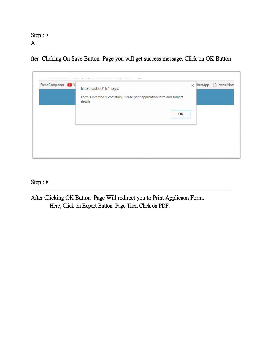Step : 7 A

 $\overline{a}$ 

fter Clicking On Save Button Page you will get success message. Click on OK Button

| FreedCamp.com (2) Y | localhost:60167 says:<br>Form submitted successfully. Please print application form and subject<br>details | $\times$ (hatsApp | https://inet |
|---------------------|------------------------------------------------------------------------------------------------------------|-------------------|--------------|
|                     | OK                                                                                                         |                   |              |
|                     |                                                                                                            |                   |              |

#### Step : 8

 $\overline{a}$ 

After Clicking OK Button Page Will redirect you to Print Applicaon Form. Here, Click on Export Button Page Then Click on PDF.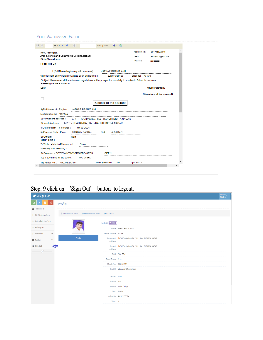| of $2 \cdot \mathbb{R}$<br>$\parallel$ 4 4 1<br>di.                                                                                                                                 | Find   Next $\qquad \qquad \blacksquare$ = ( $\bigoplus$ |                   |                            |  |
|-------------------------------------------------------------------------------------------------------------------------------------------------------------------------------------|----------------------------------------------------------|-------------------|----------------------------|--|
| Hon. Principal,                                                                                                                                                                     |                                                          | Application No.:  | 201771545012               |  |
| Arts, Science and Commerce College, Rahuri.<br>Dist. Ahmednagar                                                                                                                     |                                                          | UserID :          | jatharpran itsagmail.com   |  |
| Respected Sir.                                                                                                                                                                      |                                                          | Password:         | 9881882551                 |  |
| I. (Full Name beginning with surname)                                                                                                                                               | JATHAR PRANIT ANIL                                       |                   |                            |  |
| with consent of my parents want to seek admission in                                                                                                                                | Junior College                                           | class for XI-Arts |                            |  |
| Subject.I have read all the rules and regulations in the prospectus carefully. I promise to follow those rules.<br>Please give me admission.                                        |                                                          |                   |                            |  |
| Date -                                                                                                                                                                              |                                                          |                   | <b>Yours Faithfully</b>    |  |
|                                                                                                                                                                                     |                                                          |                   | (Signature of the student) |  |
|                                                                                                                                                                                     |                                                          |                   |                            |  |
|                                                                                                                                                                                     | <b>Biodata of the student</b>                            |                   |                            |  |
| 1) Full Name - In English<br>JATHAR PRANIT ANIL                                                                                                                                     |                                                          |                   |                            |  |
| Mother's Name SEEMA                                                                                                                                                                 |                                                          |                   |                            |  |
| 2)Permanent address :                                                                                                                                                               | AT/PT - KHADAMBA, TAL - RAHURI DIST-A.NAGAR              |                   |                            |  |
|                                                                                                                                                                                     |                                                          |                   |                            |  |
|                                                                                                                                                                                     |                                                          |                   |                            |  |
| 09-09-2001                                                                                                                                                                          |                                                          |                   |                            |  |
|                                                                                                                                                                                     |                                                          |                   |                            |  |
| Malle                                                                                                                                                                               |                                                          |                   |                            |  |
| Single                                                                                                                                                                              |                                                          |                   |                            |  |
| 4) Date of Birth - In Figures :<br>5) Place of Birth - Place SANGAV SATRAL Dist: A.NAGAR<br>6) Gender -<br>Male/Female<br>7) Status - Married/Unmarried<br>8) Hobby and art if any: |                                                          |                   |                            |  |
| 9) Catagory - SC/ST/VJNT/NT/OBC/SBC/OPEN :                                                                                                                                          | OPEN                                                     |                   |                            |  |

Step: 9 click on 'Sign Out' button to logout.

| College ERP                      |                              |                                                     | Welcome,<br>Student                                          |  |
|----------------------------------|------------------------------|-----------------------------------------------------|--------------------------------------------------------------|--|
| ø,                               | Profile                      |                                                     |                                                              |  |
| <b>Dashboard</b>                 |                              |                                                     |                                                              |  |
| Fill Admission Form              | <b>O</b> Fill Admission Form | <b>O</b> Edit Admission Form<br><b>O</b> Print Form |                                                              |  |
| Edit Admission Form              |                              | Status Conline                                      |                                                              |  |
| Holiday List                     |                              |                                                     | Name PRANIT ANIL JATHAR                                      |  |
| Print Form<br>$\checkmark$       |                              | Mother's Name SEEMA                                 |                                                              |  |
| <b>D</b> Setting<br>$\checkmark$ | Profile                      | Address                                             | Permanent Q AT/PT - KHADAMBA, TAL - RAHURI DIST-A.NAGAR      |  |
| □ Sign Out                       |                              | Address                                             | Present <b>Q</b> AT/PT - KHADAMBA, TAL - RAHURI DIST-A.NAGAR |  |
| $^\circledR$                     |                              |                                                     | DOB 2001-09-09                                               |  |
|                                  |                              | Blood Group A -ve                                   |                                                              |  |
|                                  |                              |                                                     | Mobile No. 9881882551                                        |  |
|                                  |                              |                                                     | EmailID jatharpranit@gmail.com                               |  |
|                                  |                              | Gender Male                                         |                                                              |  |
|                                  |                              | Stream Arts                                         |                                                              |  |
|                                  |                              |                                                     | Course Junior College                                        |  |
|                                  |                              |                                                     | Year XI-Arts                                                 |  |
|                                  |                              |                                                     | Adhar No 402375277574                                        |  |
|                                  |                              | Voter No                                            |                                                              |  |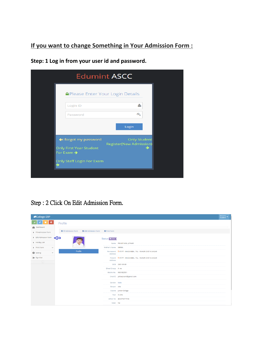#### **If you want to change Something in Your Admission Form :**

**Edumint ASCC A** Please Enter Your Login Details Δ Login ID  $\alpha_{\rm e}$ Password Login ←I forgot my password **Only Student Register(New Admission)** Only First Year Student  $\rightarrow$ For Exam  $\rightarrow$ Only Staff Login For Exam

**Step: 1 Log in from your user id and password.**

#### Step : 2 Click On Edit Admission Form.

| College ERP                      |                                                          |                     | Welcome,<br>Student                                     |  |
|----------------------------------|----------------------------------------------------------|---------------------|---------------------------------------------------------|--|
| ∝<br>-91<br><b>B</b> Dashboard   | Profile                                                  |                     |                                                         |  |
| Fill Admission Form              | O Fill Admission Form O Edit Admission Form O Print Form |                     |                                                         |  |
| Edit Admission Form              |                                                          | Status Conline      |                                                         |  |
| Holiday List                     |                                                          |                     | Name PRANIT ANIL JATHAR                                 |  |
| Print Form<br>$\checkmark$       |                                                          | Mother's Name SEEMA |                                                         |  |
| <b>O</b> Setting<br>$\checkmark$ | Profile                                                  | Address             | Permanent Q AT/PT - KHADAMBA, TAL - RAHURI DIST-A.NAGAR |  |
| □ Sign Out                       |                                                          | Address             | Present Q AT/PT - KHADAMBA, TAL - RAHURI DIST-A.NAGAR   |  |
| $\circledast$                    |                                                          |                     | DOB 2001-09-09                                          |  |
|                                  |                                                          | Blood Group A -ve   |                                                         |  |
|                                  |                                                          |                     | Mobile No. 9881882551                                   |  |
|                                  |                                                          |                     | Email D jatharpranit@gmail.com                          |  |
|                                  |                                                          | Gender Male         |                                                         |  |
|                                  |                                                          | Stream Arts         |                                                         |  |
|                                  |                                                          |                     | Course Junior College                                   |  |
|                                  |                                                          |                     | Year XI-Arts                                            |  |
|                                  |                                                          |                     | Adhar No 402375277574                                   |  |
|                                  |                                                          | Voter No            |                                                         |  |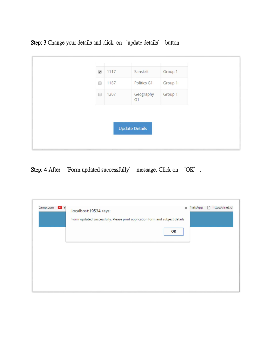

Step: 3 Change your details and click on'update details' button

Step: 4 After 'Form updated successfully' message. Click on 'OK'.

| Camp.com D Y | localhost:19534 says:<br>Form updated successfully. Please print application form and subject details | $\times$ (hatsApp | https://inet.idl |
|--------------|-------------------------------------------------------------------------------------------------------|-------------------|------------------|
|              | OK                                                                                                    |                   |                  |
|              |                                                                                                       |                   |                  |
|              |                                                                                                       |                   |                  |
|              |                                                                                                       |                   |                  |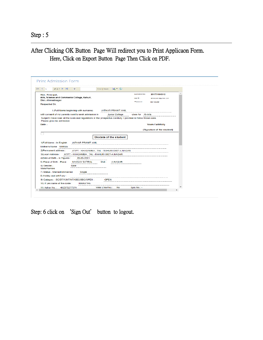Step : 5

l

#### After Clicking OK Button Page Will redirect you to Print Applicaon Form. Here, Click on Export Button Page Then Click on PDF.

| $  4 - 4  $ 1<br>of $2 \times b$ bill<br>ds.                                                                                                                                                                                                     | Find   Next $\qquad \qquad \blacksquare$ = $\qquad \qquad \qquad \blacksquare$ |                                                      |                                                          |  |
|--------------------------------------------------------------------------------------------------------------------------------------------------------------------------------------------------------------------------------------------------|--------------------------------------------------------------------------------|------------------------------------------------------|----------------------------------------------------------|--|
| Hon. Principal,<br>Arts, Science and Commerce College, Rahuri.<br>Dist. Ahmednagar<br>Respected Sir.                                                                                                                                             |                                                                                | Application No.:<br>UserID <sub>1</sub><br>Password: | 201771545012<br>latharpran Italianiali.com<br>9881882551 |  |
| I. (Full Name beginning with surname)                                                                                                                                                                                                            | JATHAR PRANIT ANIL                                                             |                                                      |                                                          |  |
| with consent of my parents want to seek admission in                                                                                                                                                                                             | Junior College                                                                 | class for XI-Arts                                    |                                                          |  |
| Subject.I have read all the rules and regulations in the prospectus carefully. I promise to follow those rules.<br>Please give me admission.                                                                                                     |                                                                                |                                                      |                                                          |  |
| Date -                                                                                                                                                                                                                                           |                                                                                |                                                      | <b>Yours Faithfully</b>                                  |  |
|                                                                                                                                                                                                                                                  |                                                                                |                                                      | (Signature of the student)                               |  |
| 1) Full Name - In English<br>JATHAR PRANIT ANIL<br>Mother's Name SEEMA                                                                                                                                                                           | <b>Biodata of the student</b>                                                  |                                                      |                                                          |  |
| 2)Permanent address :                                                                                                                                                                                                                            | AT/PT - KHADAMBA, TAL - RAHURI DIST-A.NAGAR                                    |                                                      |                                                          |  |
| 3) Local Address :<br>AT/PT - KHADAMBA . TAL - RAHURI DIST-A NAGAR                                                                                                                                                                               |                                                                                |                                                      |                                                          |  |
|                                                                                                                                                                                                                                                  |                                                                                |                                                      |                                                          |  |
| 09-09-2001                                                                                                                                                                                                                                       |                                                                                |                                                      |                                                          |  |
| <b>SANGAV SATRAL</b><br>Malle                                                                                                                                                                                                                    | -----------<br>Dist: A.NAGAR                                                   |                                                      |                                                          |  |
| Single                                                                                                                                                                                                                                           |                                                                                |                                                      |                                                          |  |
|                                                                                                                                                                                                                                                  |                                                                                |                                                      |                                                          |  |
|                                                                                                                                                                                                                                                  | OPEN                                                                           |                                                      |                                                          |  |
| 4) Date of Birth - In Figures :<br>5) Place of Birth - Place<br>6) Gender -<br>Male/Female<br>7) Status - Married/Unmarried<br>8) Hobby and art if any:<br>9) Catagory - SC/ST/VJNT/NT/OBC/SBC/OPEN:<br>10) If yes name of the caste:<br>MARATHA |                                                                                |                                                      |                                                          |  |

Step: 6 click on 'Sign Out' button to logout.